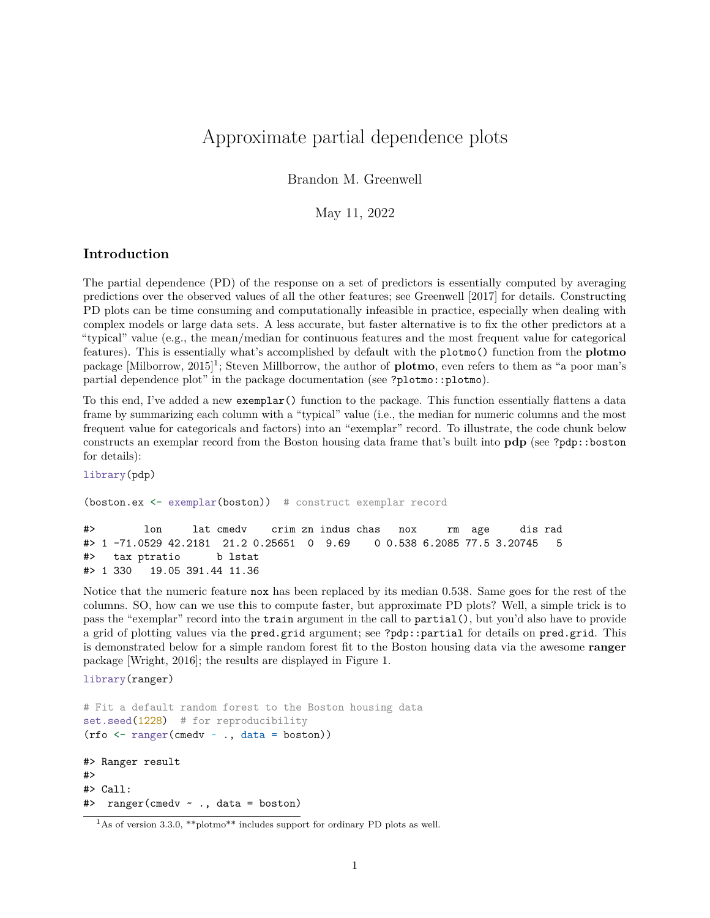## Approximate partial dependence plots

Brandon M. Greenwell

May 11, 2022

## **Introduction**

The partial dependence (PD) of the response on a set of predictors is essentially computed by averaging predictions over the observed values of all the other features; see Greenwell [2017] for details. Constructing PD plots can be time consuming and computationally infeasible in practice, especially when dealing with complex models or large data sets. A less accurate, but faster alternative is to fix the other predictors at a "typical" value (e.g., the mean/median for continuous features and the most frequent value for categorical features). This is essentially what's accomplished by default with the plotmo() function from the **plotmo** package [Milborrow, 2015]<sup>1</sup>; Steven Millborrow, the author of **plotmo**, even refers to them as "a poor man's partial dependence plot" in the package documentation (see ?plotmo::plotmo).

To this end, I've added a new exemplar() function to the package. This function essentially flattens a data frame by summarizing each column with a "typical" value (i.e., the median for numeric columns and the most frequent value for categoricals and factors) into an "exemplar" record. To illustrate, the code chunk below constructs an exemplar record from the Boston housing data frame that's built into **pdp** (see ?pdp::boston for details):

library(pdp)

(boston.ex <- exemplar(boston)) # construct exemplar record

#> lon lat cmedv crim zn indus chas nox rm age dis rad #> 1 -71.0529 42.2181 21.2 0.25651 0 9.69 0 0.538 6.2085 77.5 3.20745 5 #> tax ptratio b lstat #> 1 330 19.05 391.44 11.36

Notice that the numeric feature nox has been replaced by its median 0.538. Same goes for the rest of the columns. SO, how can we use this to compute faster, but approximate PD plots? Well, a simple trick is to pass the "exemplar" record into the train argument in the call to partial(), but you'd also have to provide a grid of plotting values via the pred.grid argument; see ?pdp::partial for details on pred.grid. This is demonstrated below for a simple random forest fit to the Boston housing data via the awesome **ranger** package [Wright, 2016]; the results are displayed in Figure 1.

library(ranger)

```
# Fit a default random forest to the Boston housing data
set.seed(1228) # for reproducibility
(rfo <- ranger(cmedv ~ ., data = boston))
#> Ranger result
#>
#> Call:
```

```
#> ranger(cmedv ~ ., data = boston)
```
 $1\text{As}$  of version 3.3.0, \*\*plotmo\*\* includes support for ordinary PD plots as well.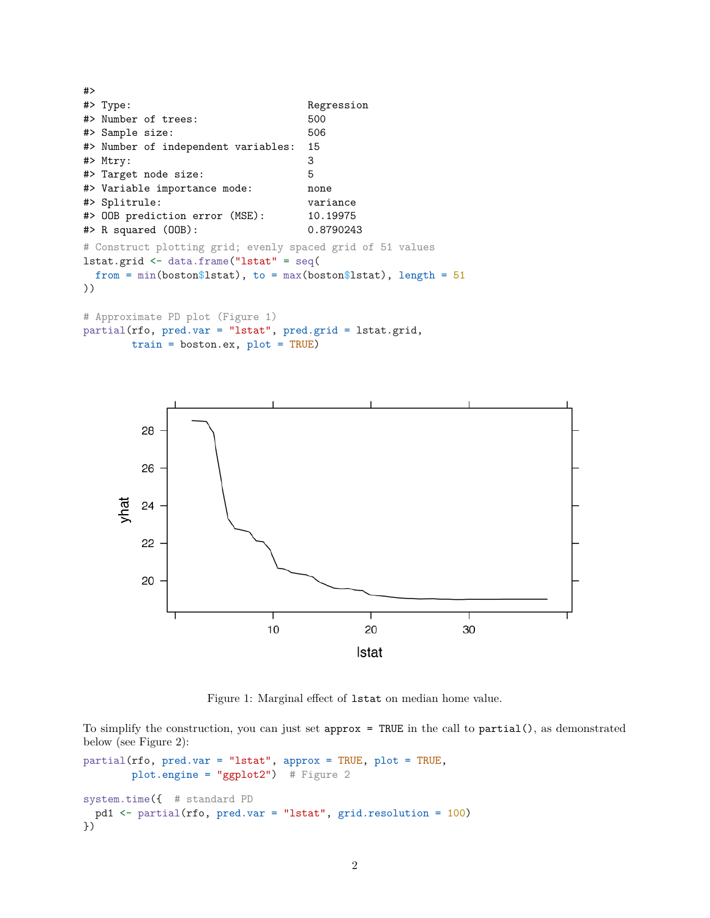#> #> Type: Regression #> Number of trees: 500 #> Sample size: 506 #> Number of independent variables: 15 #> Mtry: 3 #> Target node size: 5 #> Variable importance mode: none #> Splitrule: variance #> OOB prediction error (MSE): 10.19975 #> R squared (OOB): 0.8790243 # Construct plotting grid; evenly spaced grid of 51 values lstat.grid <- data.frame("lstat" = seq( from = min(boston\$lstat), to = max(boston\$lstat), length =  $51$ )) # Approximate PD plot (Figure 1)

```
partial(rfo, pred.var = "lstat", pred.grid = lstat.grid,
       train = boston.ex, plot = TRUE)
```


Figure 1: Marginal effect of lstat on median home value.

To simplify the construction, you can just set approx = TRUE in the call to partial(), as demonstrated below (see Figure 2):

```
partial(rfo, pred.var = "lstat", approx = TRUE, plot = TRUE,
       plot.engine = "ggplot2") # Figure 2
system.time({ # standard PD
 pd1 <- partial(rfo, pred.var = "lstat", grid.resolution = 100)
})
```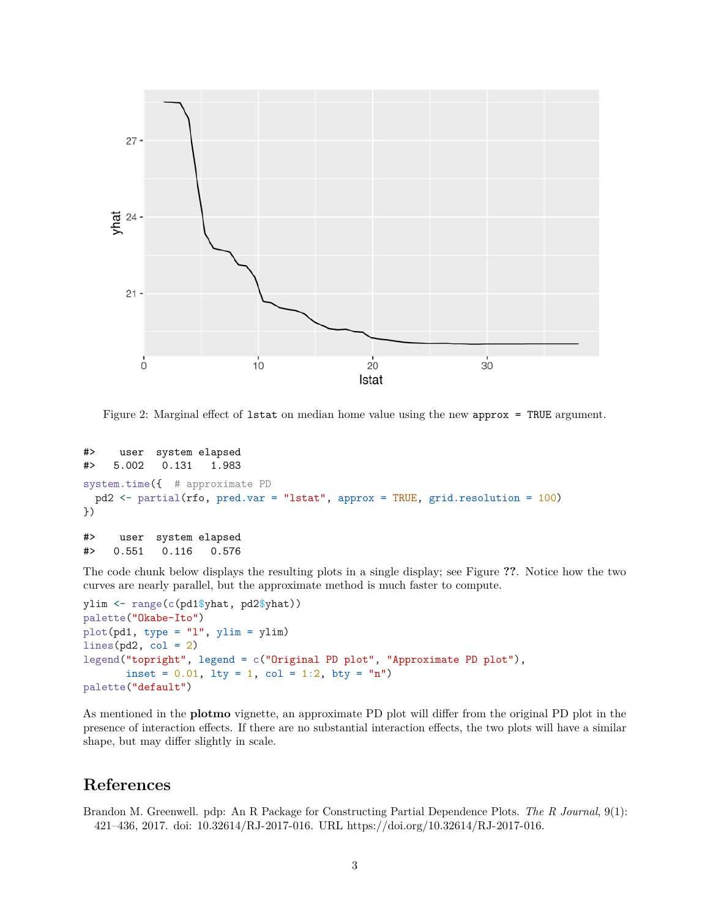

Figure 2: Marginal effect of lstat on median home value using the new approx = TRUE argument.

```
#> user system elapsed
#> 5.002 0.131 1.983
system.time({ # approximate PD
 pd2 \leftarrow partial(rfo, pred.var = "lstat", approx = TRUE, grid.resolution = 100)
})
#> user system elapsed
#> 0.551 0.116 0.576
```
The code chunk below displays the resulting plots in a single display; see Figure **??**. Notice how the two curves are nearly parallel, but the approximate method is much faster to compute.

```
ylim <- range(c(pd1$yhat, pd2$yhat))
palette("Okabe-Ito")
plot(pd1, type = "1", ylim = ylim)lines(pd2, col = 2)legend("topright", legend = c("Original PD plot", "Approximate PD plot"),
       inset = 0.01, lty = 1, col = 1:2, bty = "n")
palette("default")
```
As mentioned in the **plotmo** vignette, an approximate PD plot will differ from the original PD plot in the presence of interaction effects. If there are no substantial interaction effects, the two plots will have a similar shape, but may differ slightly in scale.

## **References**

Brandon M. Greenwell. pdp: An R Package for Constructing Partial Dependence Plots. *The R Journal*, 9(1): 421–436, 2017. doi: 10.32614/RJ-2017-016. URL https://doi.org/10.32614/RJ-2017-016.